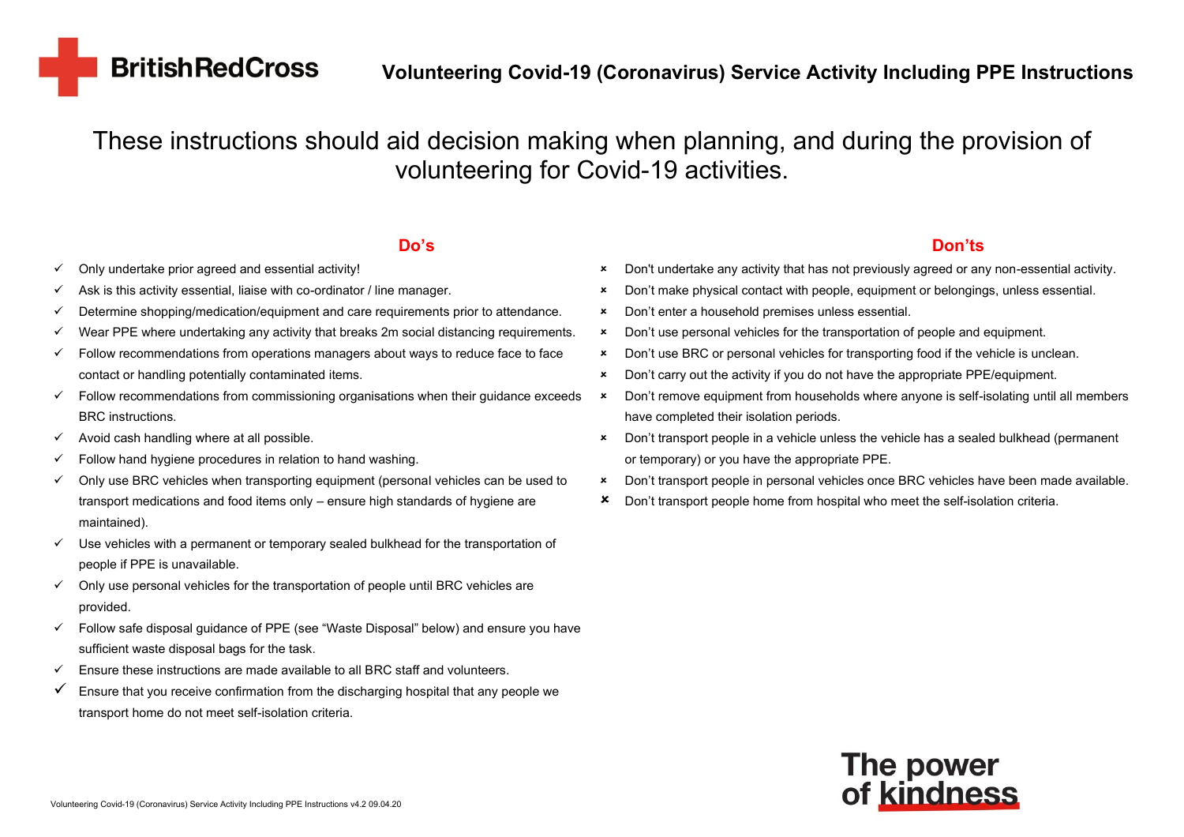

# These instructions should aid decision making when planning, and during the provision of volunteering for Covid-19 activities.

- ✓ Only undertake prior agreed and essential activity!
- $\checkmark$  Ask is this activity essential, liaise with co-ordinator / line manager.
- $\checkmark$  Determine shopping/medication/equipment and care requirements prior to attendance.
- $\checkmark$  Wear PPE where undertaking any activity that breaks 2m social distancing requirements.
- ✓ Follow recommendations from operations managers about ways to reduce face to face contact or handling potentially contaminated items.
- ✓ Follow recommendations from commissioning organisations when their guidance exceeds BRC instructions.
- $\checkmark$  Avoid cash handling where at all possible.
- $\checkmark$  Follow hand hygiene procedures in relation to hand washing.
- $\checkmark$  Only use BRC vehicles when transporting equipment (personal vehicles can be used to transport medications and food items only – ensure high standards of hygiene are maintained).
- $\checkmark$  Use vehicles with a permanent or temporary sealed bulkhead for the transportation of people if PPE is unavailable.
- $\checkmark$  Only use personal vehicles for the transportation of people until BRC vehicles are provided.
- ✓ Follow safe disposal guidance of PPE (see "Waste Disposal" below) and ensure you have sufficient waste disposal bags for the task.
- $\checkmark$  Ensure these instructions are made available to all BRC staff and volunteers.
- $\checkmark$  Ensure that you receive confirmation from the discharging hospital that any people we transport home do not meet self-isolation criteria.

#### **Do's Don'ts**

- 8 Don't undertake any activity that has not previously agreed or any non-essential activity.
- 8 Don't make physical contact with people, equipment or belongings, unless essential.
- 8 Don't enter a household premises unless essential.
- **8** Don't use personal vehicles for the transportation of people and equipment.
- **\*** Don't use BRC or personal vehicles for transporting food if the vehicle is unclean.
- 8 Don't carry out the activity if you do not have the appropriate PPE/equipment.
- 8 Don't remove equipment from households where anyone is self-isolating until all members have completed their isolation periods.
- 8 Don't transport people in a vehicle unless the vehicle has a sealed bulkhead (permanent or temporary) or you have the appropriate PPE.
- 8 Don't transport people in personal vehicles once BRC vehicles have been made available.
- 8 Don't transport people home from hospital who meet the self-isolation criteria.

# The power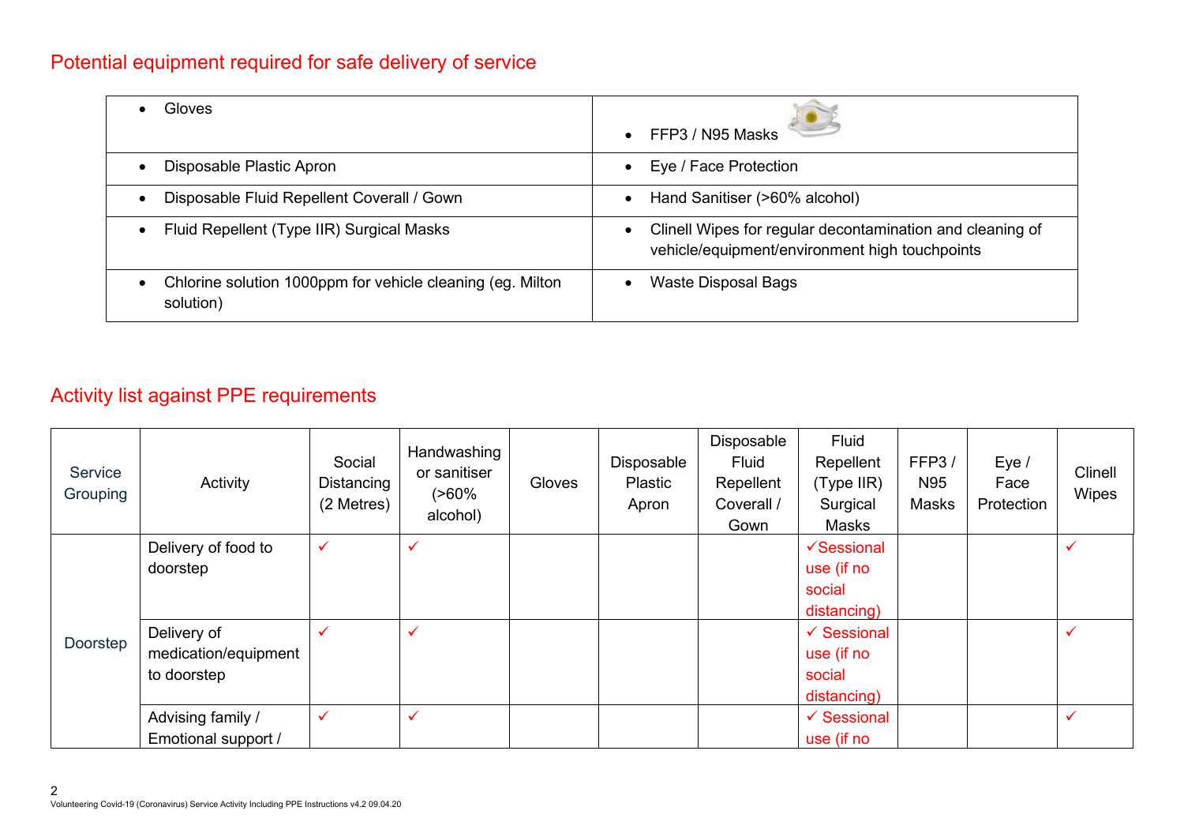# Potential equipment required for safe delivery of service

| Gloves                                                                               | FFP3 / N95 Masks                                                                                            |
|--------------------------------------------------------------------------------------|-------------------------------------------------------------------------------------------------------------|
| Disposable Plastic Apron                                                             | Eye / Face Protection                                                                                       |
| Disposable Fluid Repellent Coverall / Gown<br>$\bullet$                              | Hand Sanitiser (>60% alcohol)                                                                               |
| Fluid Repellent (Type IIR) Surgical Masks<br>$\bullet$                               | Clinell Wipes for regular decontamination and cleaning of<br>vehicle/equipment/environment high touchpoints |
| Chlorine solution 1000ppm for vehicle cleaning (eq. Milton<br>$\bullet$<br>solution) | <b>Waste Disposal Bags</b>                                                                                  |

## Activity list against PPE requirements

| Service<br>Grouping | Activity             | Social<br>Distancing<br>(2 Metres) | Handwashing<br>or sanitiser<br>$( > 60\% )$<br>alcohol) | Gloves | Disposable<br><b>Plastic</b><br>Apron | Disposable<br>Fluid<br>Repellent<br>Coverall /<br>Gown | Fluid<br>Repellent<br>(Type IIR)<br>Surgical<br>Masks | FFP3/<br>N95<br>Masks | Eye /<br>Face<br>Protection | Clinell<br>Wipes |
|---------------------|----------------------|------------------------------------|---------------------------------------------------------|--------|---------------------------------------|--------------------------------------------------------|-------------------------------------------------------|-----------------------|-----------------------------|------------------|
|                     | Delivery of food to  | $\checkmark$                       | ✓                                                       |        |                                       |                                                        | √Sessional                                            |                       |                             | ✓                |
|                     | doorstep             |                                    |                                                         |        |                                       |                                                        | use (if no                                            |                       |                             |                  |
|                     |                      |                                    |                                                         |        |                                       |                                                        | social                                                |                       |                             |                  |
|                     |                      |                                    |                                                         |        |                                       |                                                        | distancing)                                           |                       |                             |                  |
| Doorstep            | Delivery of          | $\checkmark$                       | $\checkmark$                                            |        |                                       |                                                        | $\checkmark$ Sessional                                |                       |                             | ✓                |
|                     | medication/equipment |                                    |                                                         |        |                                       |                                                        | use (if no                                            |                       |                             |                  |
|                     | to doorstep          |                                    |                                                         |        |                                       |                                                        | social                                                |                       |                             |                  |
|                     |                      |                                    |                                                         |        |                                       |                                                        | distancing)                                           |                       |                             |                  |
|                     | Advising family /    | $\checkmark$                       | $\checkmark$                                            |        |                                       |                                                        | $\checkmark$ Sessional                                |                       |                             | ✓                |
|                     | Emotional support /  |                                    |                                                         |        |                                       |                                                        | use (if no                                            |                       |                             |                  |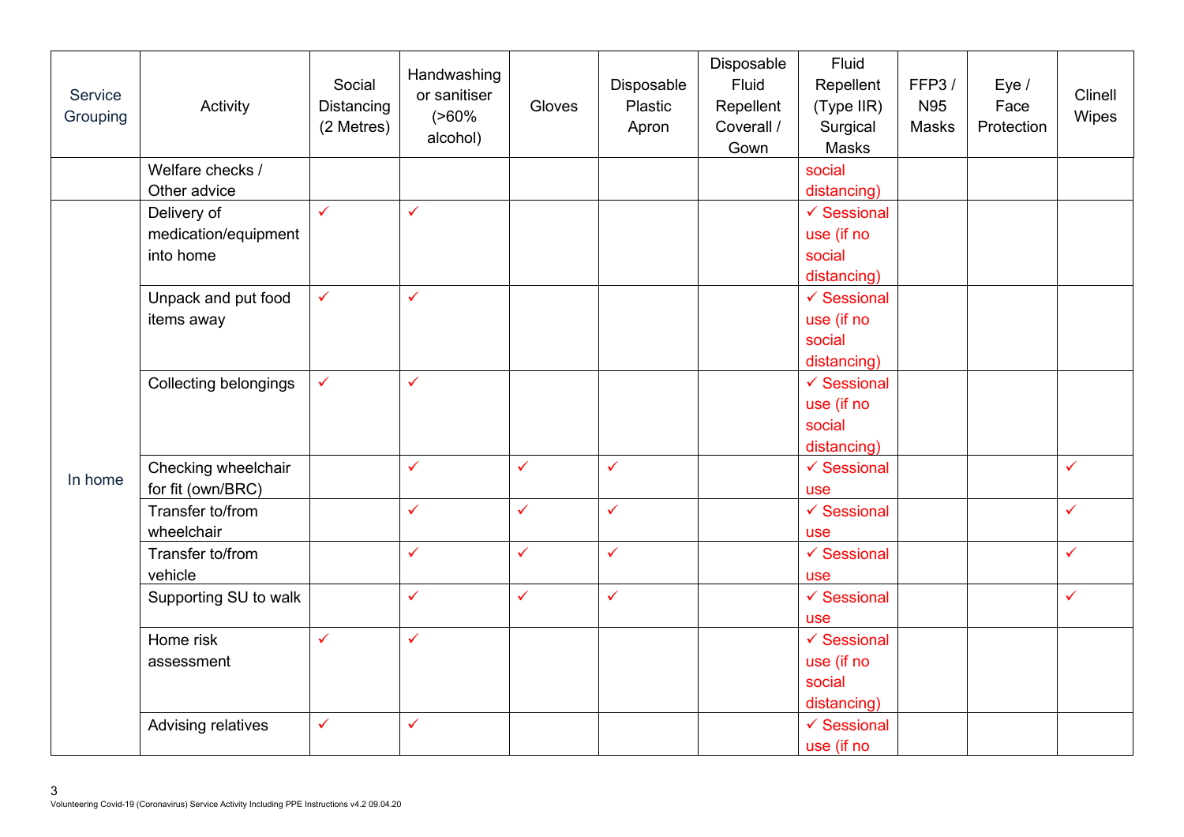| Service<br>Grouping | Activity                                         | Social<br>Distancing<br>(2 Metres) | Handwashing<br>or sanitiser<br>$( > 60\% )$<br>alcohol) | Gloves       | Disposable<br>Plastic<br>Apron | Disposable<br>Fluid<br>Repellent<br>Coverall /<br>Gown | Fluid<br>Repellent<br>(Type IIR)<br>Surgical<br>Masks         | FFP3/<br><b>N95</b><br>Masks | Eye /<br>Face<br>Protection | Clinell<br>Wipes |
|---------------------|--------------------------------------------------|------------------------------------|---------------------------------------------------------|--------------|--------------------------------|--------------------------------------------------------|---------------------------------------------------------------|------------------------------|-----------------------------|------------------|
|                     | Welfare checks /<br>Other advice                 |                                    |                                                         |              |                                |                                                        | social<br>distancing)                                         |                              |                             |                  |
|                     | Delivery of<br>medication/equipment<br>into home | $\checkmark$                       | $\checkmark$                                            |              |                                |                                                        | $\checkmark$ Sessional<br>use (if no<br>social<br>distancing) |                              |                             |                  |
|                     | Unpack and put food<br>items away                | $\checkmark$                       | $\checkmark$                                            |              |                                |                                                        | $\checkmark$ Sessional<br>use (if no<br>social<br>distancing) |                              |                             |                  |
|                     | <b>Collecting belongings</b>                     | $\checkmark$                       | $\checkmark$                                            |              |                                |                                                        | $\checkmark$ Sessional<br>use (if no<br>social<br>distancing) |                              |                             |                  |
| In home             | Checking wheelchair<br>for fit (own/BRC)         |                                    | $\checkmark$                                            | $\checkmark$ | $\checkmark$                   |                                                        | $\checkmark$ Sessional<br>use                                 |                              |                             | $\checkmark$     |
|                     | Transfer to/from<br>wheelchair                   |                                    | $\checkmark$                                            | $\checkmark$ | $\checkmark$                   |                                                        | $\checkmark$ Sessional<br>use                                 |                              |                             | $\checkmark$     |
|                     | Transfer to/from<br>vehicle                      |                                    | $\checkmark$                                            | $\checkmark$ | $\checkmark$                   |                                                        | $\checkmark$ Sessional<br>use                                 |                              |                             | $\checkmark$     |
|                     | Supporting SU to walk                            |                                    | $\checkmark$                                            | $\checkmark$ | $\checkmark$                   |                                                        | $\checkmark$ Sessional<br>use                                 |                              |                             | $\checkmark$     |
|                     | Home risk<br>assessment                          | $\checkmark$                       | $\checkmark$                                            |              |                                |                                                        | $\checkmark$ Sessional<br>use (if no<br>social<br>distancing) |                              |                             |                  |
|                     | Advising relatives                               | $\checkmark$                       | $\checkmark$                                            |              |                                |                                                        | $\checkmark$ Sessional<br>use (if no                          |                              |                             |                  |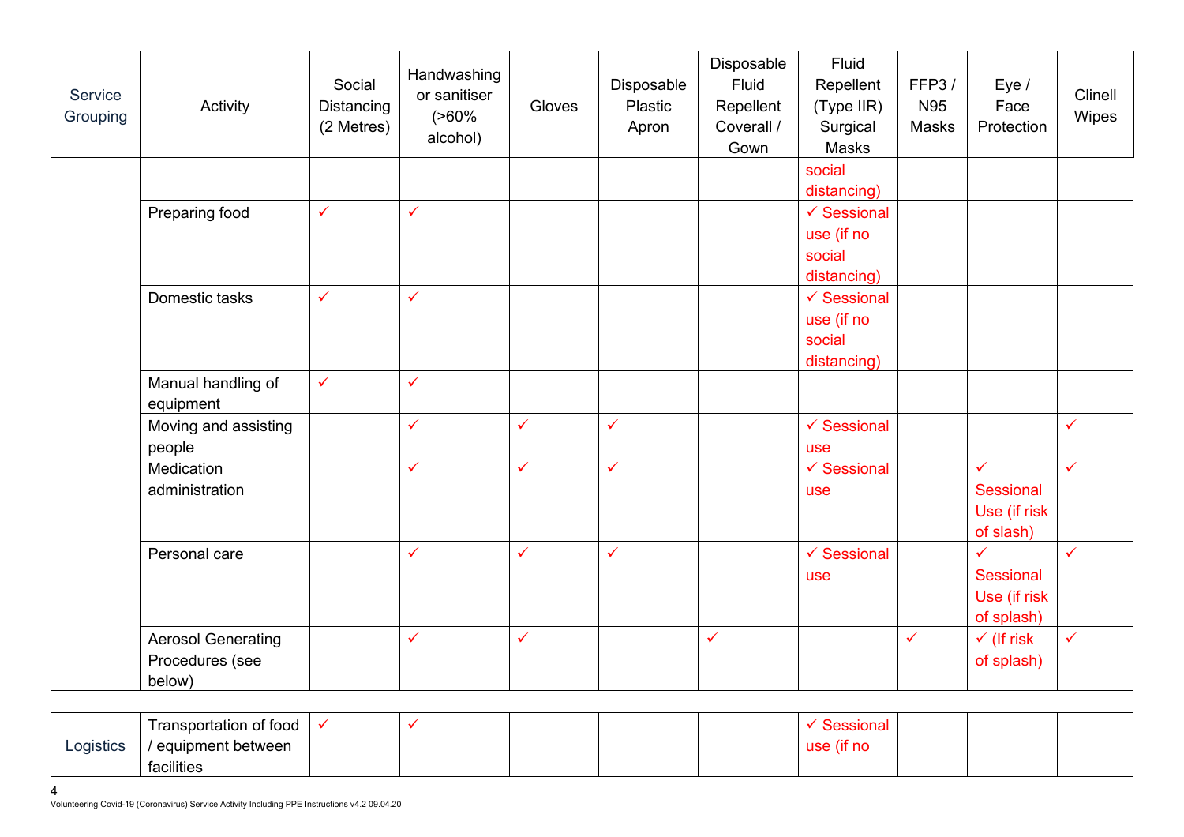| Service<br>Grouping | Activity                                               | Social<br>Distancing<br>(2 Metres) | Handwashing<br>or sanitiser<br>$( > 60\% )$<br>alcohol) | Gloves       | Disposable<br><b>Plastic</b><br>Apron | Disposable<br>Fluid<br>Repellent<br>Coverall /<br>Gown | Fluid<br>Repellent<br>(Type IIR)<br>Surgical<br>Masks         | FFP3/<br><b>N95</b><br>Masks | Eye /<br>Face<br>Protection                             | Clinell<br>Wipes |
|---------------------|--------------------------------------------------------|------------------------------------|---------------------------------------------------------|--------------|---------------------------------------|--------------------------------------------------------|---------------------------------------------------------------|------------------------------|---------------------------------------------------------|------------------|
|                     |                                                        |                                    |                                                         |              |                                       |                                                        | social<br>distancing)                                         |                              |                                                         |                  |
|                     | Preparing food                                         | $\checkmark$                       | $\checkmark$                                            |              |                                       |                                                        | $\checkmark$ Sessional<br>use (if no<br>social<br>distancing) |                              |                                                         |                  |
|                     | Domestic tasks                                         | $\checkmark$                       | $\checkmark$                                            |              |                                       |                                                        | $\checkmark$ Sessional<br>use (if no<br>social<br>distancing) |                              |                                                         |                  |
|                     | Manual handling of<br>equipment                        | $\checkmark$                       | $\checkmark$                                            |              |                                       |                                                        |                                                               |                              |                                                         |                  |
|                     | Moving and assisting<br>people                         |                                    | $\checkmark$                                            | $\checkmark$ | $\checkmark$                          |                                                        | $\checkmark$ Sessional<br>use                                 |                              |                                                         | $\checkmark$     |
|                     | Medication<br>administration                           |                                    | $\checkmark$                                            | $\checkmark$ | $\checkmark$                          |                                                        | $\checkmark$ Sessional<br>use                                 |                              | $\checkmark$<br>Sessional<br>Use (if risk<br>of slash)  | $\checkmark$     |
|                     | Personal care                                          |                                    | $\checkmark$                                            | $\checkmark$ | $\checkmark$                          |                                                        | $\checkmark$ Sessional<br>use                                 |                              | $\checkmark$<br>Sessional<br>Use (if risk<br>of splash) | $\checkmark$     |
|                     | <b>Aerosol Generating</b><br>Procedures (see<br>below) |                                    | $\checkmark$                                            | $\checkmark$ |                                       | $\checkmark$                                           |                                                               | $\checkmark$                 | $\checkmark$ (If risk<br>of splash)                     | $\checkmark$     |

|           | Transportation of food |  |  | essional         |  |  |
|-----------|------------------------|--|--|------------------|--|--|
| Logistics | / equipment between    |  |  | ۱۱۹۵<br>n<br>uou |  |  |
|           | facilities             |  |  |                  |  |  |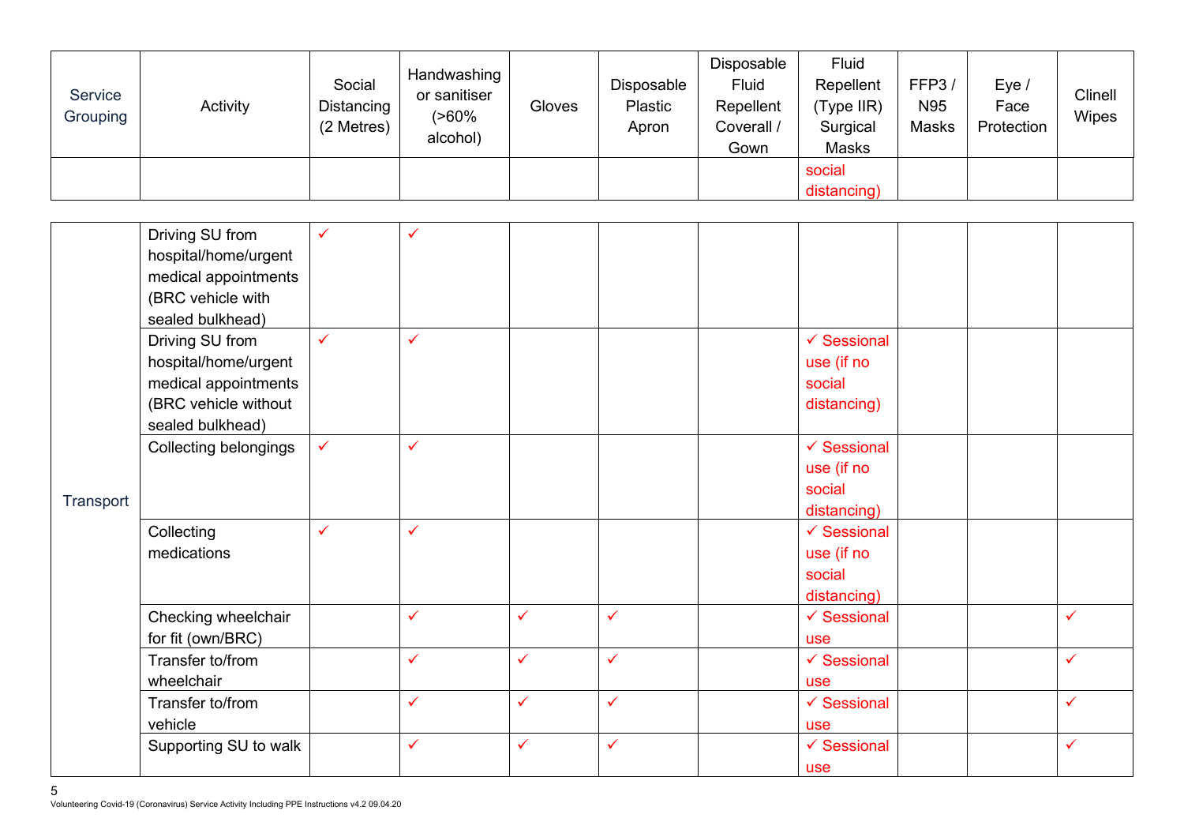| Service<br>Grouping | Activity                                                                                                    | Social<br>Distancing<br>(2 Metres) | Handwashing<br>or sanitiser<br>$( > 60\% )$<br>alcohol) | Gloves       | Disposable<br>Plastic<br>Apron | Disposable<br>Fluid<br>Repellent<br>Coverall /<br>Gown | Fluid<br>Repellent<br>(Type IIR)<br>Surgical<br>Masks         | FFP3/<br><b>N95</b><br>Masks | Eye /<br>Face<br>Protection | Clinell<br>Wipes |
|---------------------|-------------------------------------------------------------------------------------------------------------|------------------------------------|---------------------------------------------------------|--------------|--------------------------------|--------------------------------------------------------|---------------------------------------------------------------|------------------------------|-----------------------------|------------------|
|                     |                                                                                                             |                                    |                                                         |              |                                |                                                        | social<br>distancing)                                         |                              |                             |                  |
|                     |                                                                                                             |                                    |                                                         |              |                                |                                                        |                                                               |                              |                             |                  |
|                     | Driving SU from<br>hospital/home/urgent<br>medical appointments<br>(BRC vehicle with<br>sealed bulkhead)    | $\checkmark$                       | $\checkmark$                                            |              |                                |                                                        |                                                               |                              |                             |                  |
|                     | Driving SU from<br>hospital/home/urgent<br>medical appointments<br>(BRC vehicle without<br>sealed bulkhead) | $\checkmark$                       | $\checkmark$                                            |              |                                |                                                        | $\checkmark$ Sessional<br>use (if no<br>social<br>distancing) |                              |                             |                  |
| Transport           | Collecting belongings                                                                                       | $\checkmark$                       | $\checkmark$                                            |              |                                |                                                        | $\checkmark$ Sessional<br>use (if no<br>social<br>distancing) |                              |                             |                  |
|                     | Collecting<br>medications                                                                                   | $\checkmark$                       | $\checkmark$                                            |              |                                |                                                        | $\checkmark$ Sessional<br>use (if no<br>social<br>distancing) |                              |                             |                  |
|                     | Checking wheelchair<br>for fit (own/BRC)                                                                    |                                    | $\checkmark$                                            | $\checkmark$ | $\checkmark$                   |                                                        | $\checkmark$ Sessional<br>use                                 |                              |                             | $\checkmark$     |
|                     | Transfer to/from<br>wheelchair                                                                              |                                    | $\checkmark$                                            | $\checkmark$ | $\checkmark$                   |                                                        | $\checkmark$ Sessional<br>use                                 |                              |                             | $\checkmark$     |
|                     | Transfer to/from<br>vehicle                                                                                 |                                    | $\checkmark$                                            | $\checkmark$ | $\checkmark$                   |                                                        | $\checkmark$ Sessional<br>use                                 |                              |                             | $\checkmark$     |
|                     | Supporting SU to walk                                                                                       |                                    | $\checkmark$                                            | $\checkmark$ | $\checkmark$                   |                                                        | $\checkmark$ Sessional<br>use                                 |                              |                             | $\checkmark$     |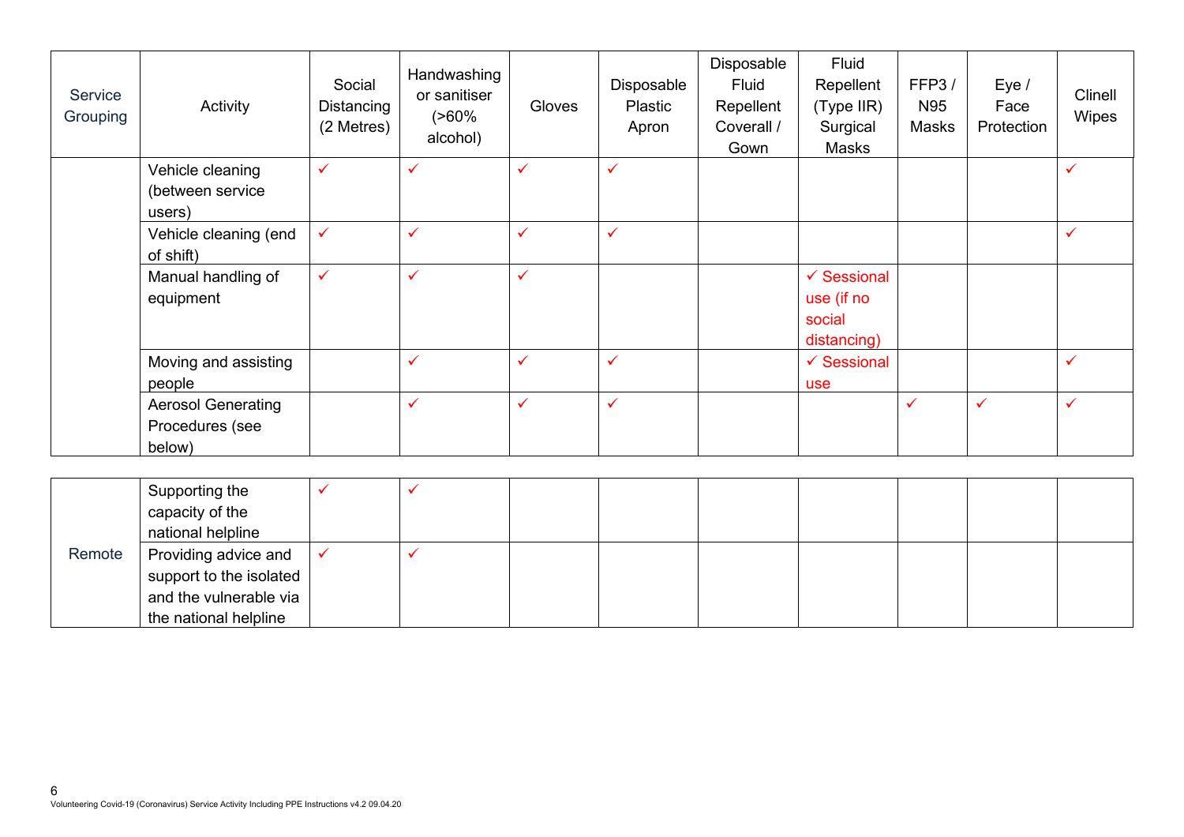| Service<br>Grouping | Activity                                               | Social<br>Distancing<br>(2 Metres) | Handwashing<br>or sanitiser<br>$( > 60\% )$<br>alcohol) | Gloves       | Disposable<br><b>Plastic</b><br>Apron | Disposable<br>Fluid<br>Repellent<br>Coverall /<br>Gown | Fluid<br>Repellent<br>(Type IIR)<br>Surgical<br>Masks         | FFP3/<br>N95<br>Masks | Eye /<br>Face<br>Protection | Clinell<br>Wipes |
|---------------------|--------------------------------------------------------|------------------------------------|---------------------------------------------------------|--------------|---------------------------------------|--------------------------------------------------------|---------------------------------------------------------------|-----------------------|-----------------------------|------------------|
|                     | Vehicle cleaning<br>(between service<br>users)         | $\checkmark$                       | $\checkmark$                                            | $\checkmark$ | $\checkmark$                          |                                                        |                                                               |                       |                             | $\checkmark$     |
|                     | Vehicle cleaning (end<br>of shift)                     | ✓                                  | $\checkmark$                                            | $\checkmark$ | $\checkmark$                          |                                                        |                                                               |                       |                             | ✓                |
|                     | Manual handling of<br>equipment                        | $\checkmark$                       | $\checkmark$                                            | $\checkmark$ |                                       |                                                        | $\checkmark$ Sessional<br>use (if no<br>social<br>distancing) |                       |                             |                  |
|                     | Moving and assisting<br>people                         |                                    | ✓                                                       | $\checkmark$ | $\checkmark$                          |                                                        | $\checkmark$ Sessional<br>use                                 |                       |                             | $\checkmark$     |
|                     | <b>Aerosol Generating</b><br>Procedures (see<br>below) |                                    | $\checkmark$                                            | $\checkmark$ | $\checkmark$                          |                                                        |                                                               | $\checkmark$          | ✓                           | ✓                |

|        | Supporting the          |  |  |  |  |  |
|--------|-------------------------|--|--|--|--|--|
|        | capacity of the         |  |  |  |  |  |
|        | national helpline       |  |  |  |  |  |
| Remote | Providing advice and    |  |  |  |  |  |
|        | support to the isolated |  |  |  |  |  |
|        | and the vulnerable via  |  |  |  |  |  |
|        | the national helpline   |  |  |  |  |  |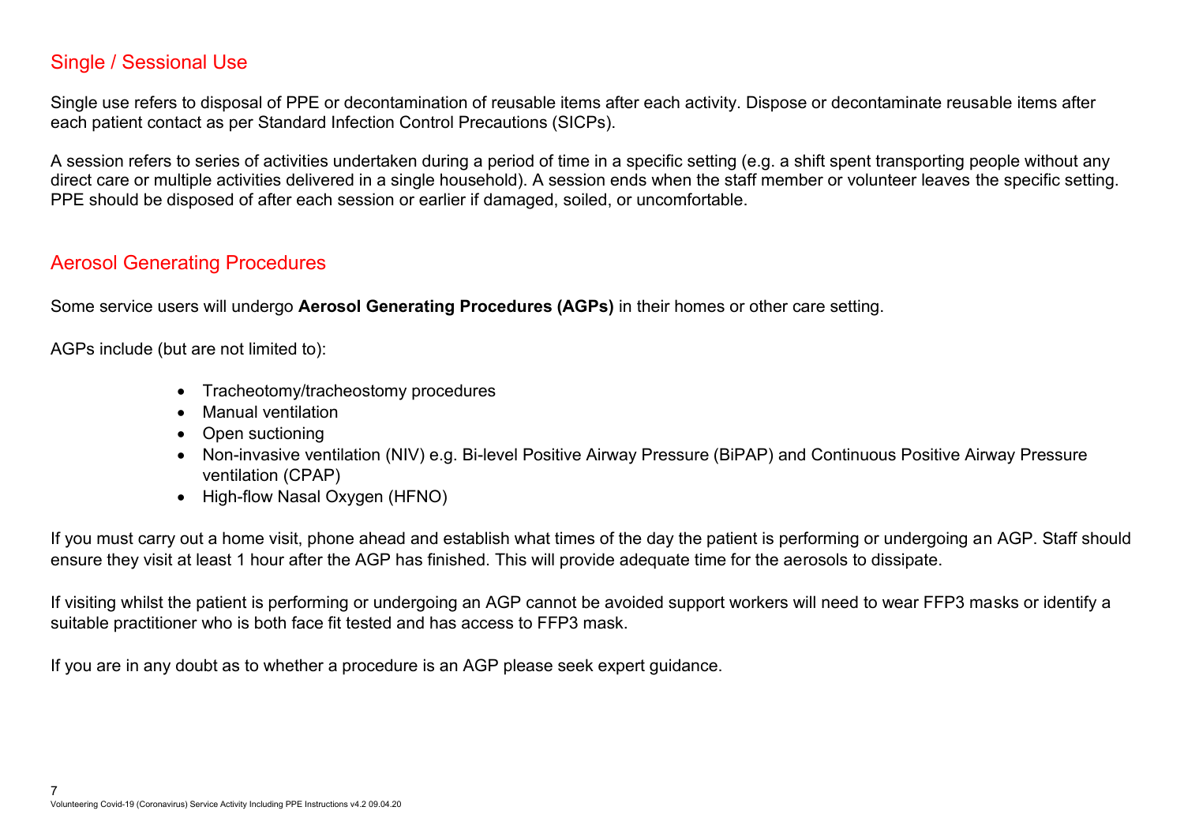#### Single / Sessional Use

Single use refers to disposal of PPE or decontamination of reusable items after each activity. Dispose or decontaminate reusable items after each patient contact as per Standard Infection Control Precautions (SICPs).

A session refers to series of activities undertaken during a period of time in a specific setting (e.g. a shift spent transporting people without any direct care or multiple activities delivered in a single household). A session ends when the staff member or volunteer leaves the specific setting. PPE should be disposed of after each session or earlier if damaged, soiled, or uncomfortable.

#### Aerosol Generating Procedures

Some service users will undergo **Aerosol Generating Procedures (AGPs)** in their homes or other care setting.

AGPs include (but are not limited to):

- Tracheotomy/tracheostomy procedures
- Manual ventilation
- Open suctioning
- Non-invasive ventilation (NIV) e.g. Bi-level Positive Airway Pressure (BiPAP) and Continuous Positive Airway Pressure ventilation (CPAP)
- High-flow Nasal Oxygen (HFNO)

If you must carry out a home visit, phone ahead and establish what times of the day the patient is performing or undergoing an AGP. Staff should ensure they visit at least 1 hour after the AGP has finished. This will provide adequate time for the aerosols to dissipate.

If visiting whilst the patient is performing or undergoing an AGP cannot be avoided support workers will need to wear FFP3 masks or identify a suitable practitioner who is both face fit tested and has access to FFP3 mask.

If you are in any doubt as to whether a procedure is an AGP please seek expert guidance.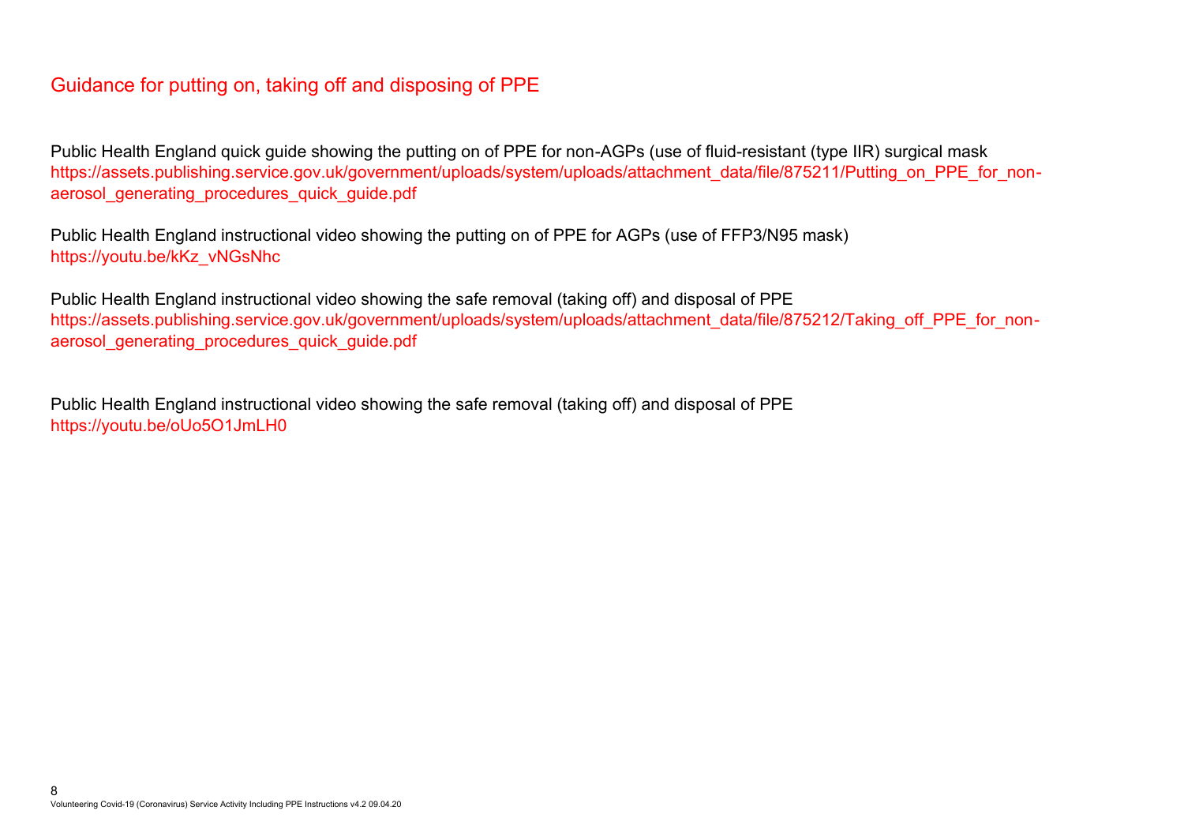### Guidance for putting on, taking off and disposing of PPE

Public Health England quick guide showing the putting on of PPE for non-AGPs (use of fluid-resistant (type IIR) surgical mask [https://assets.publishing.service.gov.uk/government/uploads/system/uploads/attachment\\_data/file/875211/Putting\\_on\\_PPE\\_for\\_non](https://assets.publishing.service.gov.uk/government/uploads/system/uploads/attachment_data/file/875211/Putting_on_PPE_for_non-aerosol_generating_procedures_quick_guide.pdf)aerosol\_generating\_procedures\_quick\_quide.pdf

Public Health England instructional video showing the putting on of PPE for AGPs (use of FFP3/N95 mask) [https://youtu.be/kKz\\_vNGsNhc](https://youtu.be/kKz_vNGsNhc)

Public Health England instructional video showing the safe removal (taking off) and disposal of PPE [https://assets.publishing.service.gov.uk/government/uploads/system/uploads/attachment\\_data/file/875212/Taking\\_off\\_PPE\\_for\\_non](https://assets.publishing.service.gov.uk/government/uploads/system/uploads/attachment_data/file/875212/Taking_off_PPE_for_non-aerosol_generating_procedures_quick_guide.pdf)aerosol generating procedures quick quide.pdf

Public Health England instructional video showing the safe removal (taking off) and disposal of PPE <https://youtu.be/oUo5O1JmLH0>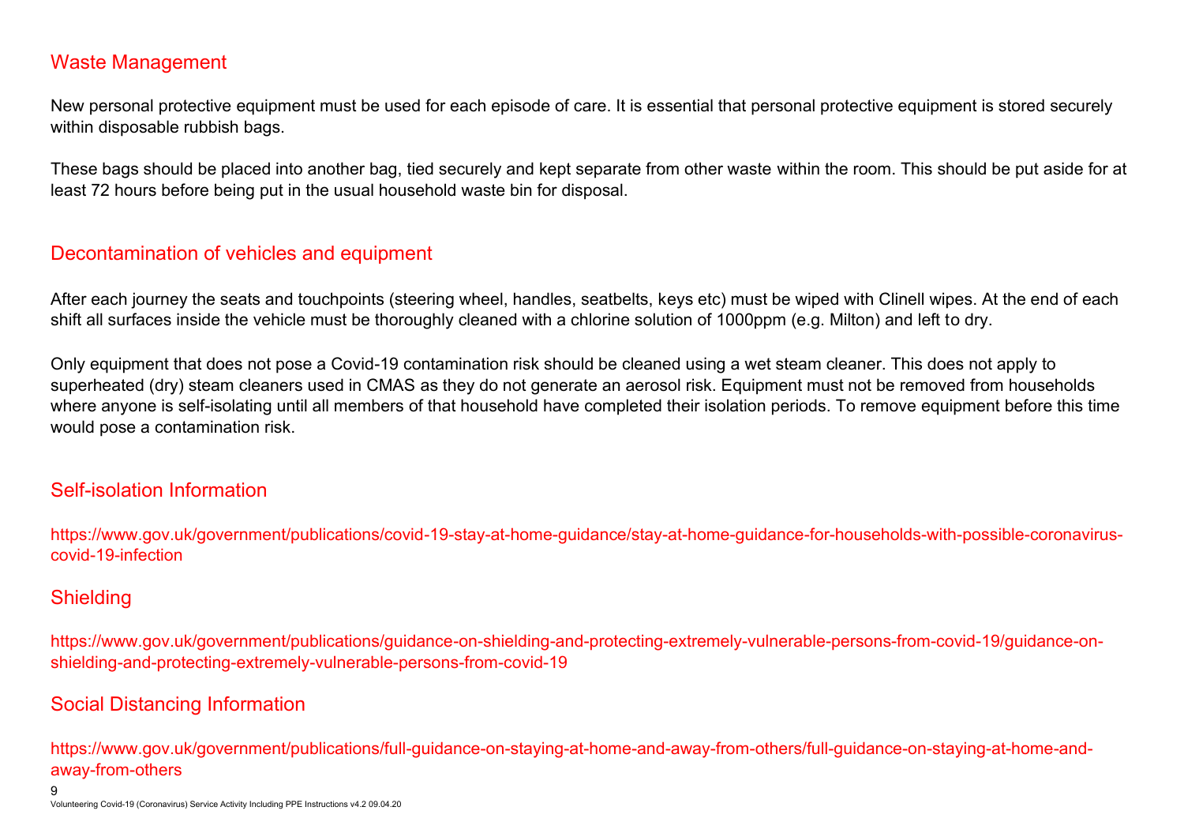#### Waste Management

New personal protective equipment must be used for each episode of care. It is essential that personal protective equipment is stored securely within disposable rubbish bags.

These bags should be placed into another bag, tied securely and kept separate from other waste within the room. This should be put aside for at least 72 hours before being put in the usual household waste bin for disposal.

#### Decontamination of vehicles and equipment

After each journey the seats and touchpoints (steering wheel, handles, seatbelts, keys etc) must be wiped with Clinell wipes. At the end of each shift all surfaces inside the vehicle must be thoroughly cleaned with a chlorine solution of 1000ppm (e.g. Milton) and left to dry.

Only equipment that does not pose a Covid-19 contamination risk should be cleaned using a wet steam cleaner. This does not apply to superheated (dry) steam cleaners used in CMAS as they do not generate an aerosol risk. Equipment must not be removed from households where anyone is self-isolating until all members of that household have completed their isolation periods. To remove equipment before this time would pose a contamination risk.

#### Self-isolation Information

[https://www.gov.uk/government/publications/covid-19-stay-at-home-guidance/stay-at-home-guidance-for-households-with-possible-coronavirus](https://www.gov.uk/government/publications/covid-19-stay-at-home-guidance/stay-at-home-guidance-for-households-with-possible-coronavirus-covid-19-infection)[covid-19-infection](https://www.gov.uk/government/publications/covid-19-stay-at-home-guidance/stay-at-home-guidance-for-households-with-possible-coronavirus-covid-19-infection)

#### **Shielding**

9

[https://www.gov.uk/government/publications/guidance-on-shielding-and-protecting-extremely-vulnerable-persons-from-covid-19/guidance-on](https://www.gov.uk/government/publications/guidance-on-shielding-and-protecting-extremely-vulnerable-persons-from-covid-19/guidance-on-shielding-and-protecting-extremely-vulnerable-persons-from-covid-19)[shielding-and-protecting-extremely-vulnerable-persons-from-covid-19](https://www.gov.uk/government/publications/guidance-on-shielding-and-protecting-extremely-vulnerable-persons-from-covid-19/guidance-on-shielding-and-protecting-extremely-vulnerable-persons-from-covid-19)

#### Social Distancing Information

[https://www.gov.uk/government/publications/full-guidance-on-staying-at-home-and-away-from-others/full-guidance-on-staying-at-home-and](https://www.gov.uk/government/publications/full-guidance-on-staying-at-home-and-away-from-others/full-guidance-on-staying-at-home-and-away-from-others)[away-from-others](https://www.gov.uk/government/publications/full-guidance-on-staying-at-home-and-away-from-others/full-guidance-on-staying-at-home-and-away-from-others)